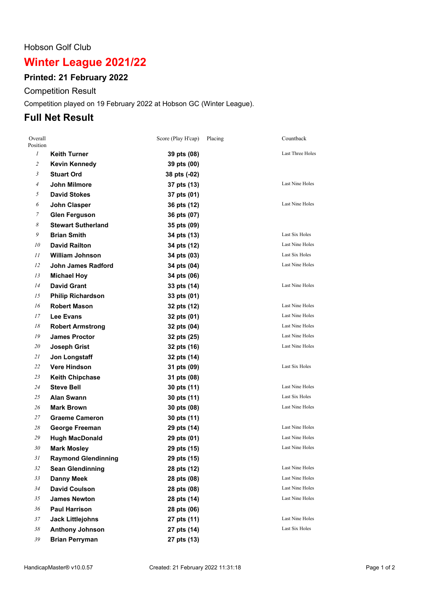#### Hobson Golf Club

# **Winter League 2021/22**

## **Printed: 21 February 2022**

Competition Result

Competition played on 19 February 2022 at Hobson GC (Winter League).

## **Full Net Result**

| Overall<br>Position |                            | Score (Play H'cap) | Placing | Countback              |
|---------------------|----------------------------|--------------------|---------|------------------------|
| $\mathfrak{I}$      | Keith Turner               | 39 pts (08)        |         | Last Three Holes       |
| $\mathfrak{2}$      | <b>Kevin Kennedy</b>       | 39 pts (00)        |         |                        |
| $\mathfrak{Z}$      | <b>Stuart Ord</b>          | 38 pts (-02)       |         |                        |
| $\overline{A}$      | John Milmore               | 37 pts (13)        |         | Last Nine Holes        |
| 5                   | <b>David Stokes</b>        | 37 pts (01)        |         |                        |
| 6                   | John Clasper               | 36 pts (12)        |         | Last Nine Holes        |
| 7                   | <b>Glen Ferguson</b>       | 36 pts (07)        |         |                        |
| 8                   | <b>Stewart Sutherland</b>  | 35 pts (09)        |         |                        |
| 9                   | <b>Brian Smith</b>         | 34 pts (13)        |         | Last Six Holes         |
| 10                  | <b>David Railton</b>       | 34 pts (12)        |         | Last Nine Holes        |
| 11                  | <b>William Johnson</b>     | 34 pts (03)        |         | Last Six Holes         |
| 12                  | <b>John James Radford</b>  | 34 pts (04)        |         | <b>Last Nine Holes</b> |
| 13                  | <b>Michael Hoy</b>         | 34 pts (06)        |         |                        |
| 14                  | <b>David Grant</b>         | 33 pts (14)        |         | Last Nine Holes        |
| 15                  | <b>Philip Richardson</b>   | 33 pts (01)        |         |                        |
| 16                  | <b>Robert Mason</b>        | 32 pts (12)        |         | <b>Last Nine Holes</b> |
| 17                  | Lee Evans                  | 32 pts (01)        |         | <b>Last Nine Holes</b> |
| 18                  | <b>Robert Armstrong</b>    | 32 pts (04)        |         | <b>Last Nine Holes</b> |
| 19                  | <b>James Proctor</b>       | 32 pts (25)        |         | <b>Last Nine Holes</b> |
| 20                  | <b>Joseph Grist</b>        | 32 pts (16)        |         | Last Nine Holes        |
| 21                  | Jon Longstaff              | 32 pts (14)        |         |                        |
| 22                  | <b>Vere Hindson</b>        | 31 pts (09)        |         | Last Six Holes         |
| 23                  | <b>Keith Chipchase</b>     | 31 pts (08)        |         |                        |
| 24                  | <b>Steve Bell</b>          | 30 pts (11)        |         | Last Nine Holes        |
| 25                  | <b>Alan Swann</b>          | 30 pts (11)        |         | Last Six Holes         |
| 26                  | <b>Mark Brown</b>          | 30 pts (08)        |         | Last Nine Holes        |
| 27                  | <b>Graeme Cameron</b>      | 30 pts (11)        |         |                        |
| 28                  | George Freeman             | 29 pts (14)        |         | Last Nine Holes        |
| 29                  | <b>Hugh MacDonald</b>      | 29 pts (01)        |         | <b>Last Nine Holes</b> |
| 30                  | <b>Mark Mosley</b>         | 29 pts (15)        |         | Last Nine Holes        |
| 31                  | <b>Raymond Glendinning</b> | 29 pts (15)        |         |                        |
| 32                  | <b>Sean Glendinning</b>    | 28 pts (12)        |         | Last Nine Holes        |
| 33                  | <b>Danny Meek</b>          | 28 pts (08)        |         | Last Nine Holes        |
| 34                  | <b>David Coulson</b>       | 28 pts (08)        |         | Last Nine Holes        |
| 35                  | <b>James Newton</b>        | 28 pts (14)        |         | Last Nine Holes        |
| 36                  | <b>Paul Harrison</b>       | 28 pts (06)        |         |                        |
| 37                  | <b>Jack Littlejohns</b>    | 27 pts (11)        |         | Last Nine Holes        |
| 38                  | <b>Anthony Johnson</b>     | 27 pts (14)        |         | Last Six Holes         |
| 39                  | <b>Brian Perryman</b>      | 27 pts (13)        |         |                        |